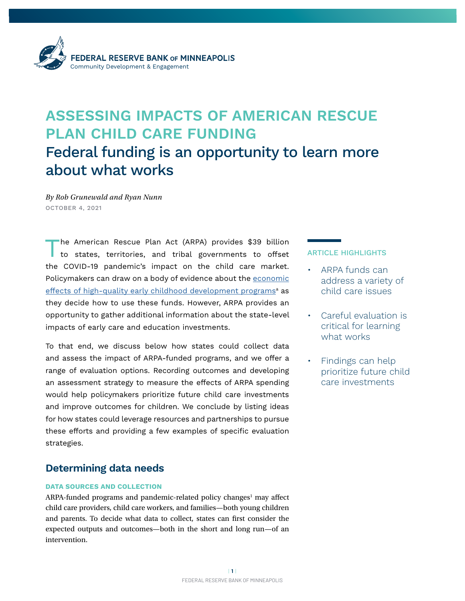

# **ASSESSING IMPACTS OF AMERICAN RESCUE PLAN CHILD CARE FUNDING**  Federal funding is an opportunity to learn more about what works

*By Rob Grunewald and Ryan Nunn* OCTOBER 4, 2021

The American Rescue Plan Act (ARPA) provides \$39 billion to states, territories, and tribal governments to offset the COVID-19 pandemic's impact on the child care market. Policymakers can draw on a body of evidence about the [economic](https://www.minneapolisfed.org/article/2003/early-childhood-development-economic-development-with-a-high-public-return)  <u>[effects of high-quality early childhood development programs](https://www.minneapolisfed.org/article/2003/early-childhood-development-economic-development-with-a-high-public-return)<sup>a</sup> as</u> they decide how to use these funds. However, ARPA provides an opportunity to gather additional information about the state-level impacts of early care and education investments.

To that end, we discuss below how states could collect data and assess the impact of ARPA-funded programs, and we offer a range of evaluation options. Recording outcomes and developing an assessment strategy to measure the effects of ARPA spending would help policymakers prioritize future child care investments and improve outcomes for children. We conclude by listing ideas for how states could leverage resources and partnerships to pursue these efforts and providing a few examples of specific evaluation strategies.

#### **Determining data needs**

#### **DATA SOURCES AND COLLECTION**

ARPA-funded programs and pandemic-related policy changes<sup>1</sup> may affect child care providers, child care workers, and families—both young children and parents. To decide what data to collect, states can first consider the expected outputs and outcomes—both in the short and long run—of an intervention.

#### ARTICLE HIGHLIGHTS

- ARPA funds can address a variety of child care issues
- Careful evaluation is critical for learning what works
- Findings can help prioritize future child care investments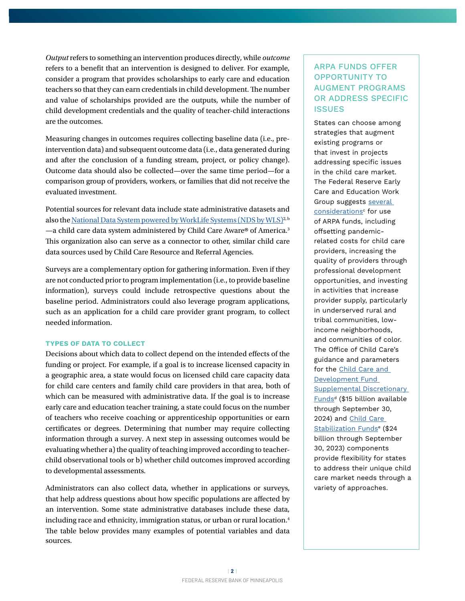*Output* refers to something an intervention produces directly, while *outcome* refers to a benefit that an intervention is designed to deliver. For example, consider a program that provides scholarships to early care and education teachers so that they can earn credentials in child development. The number and value of scholarships provided are the outputs, while the number of child development credentials and the quality of teacher-child interactions are the outcomes.

Measuring changes in outcomes requires collecting baseline data (i.e., preintervention data) and subsequent outcome data (i.e., data generated during and after the conclusion of a funding stream, project, or policy change). Outcome data should also be collected—over the same time period—for a comparison group of providers, workers, or families that did not receive the evaluated investment.

Potential sources for relevant data include state administrative datasets and also the [National Data System powered by WorkLife Systems \(NDS by WLS\)](https://www.childcareaware.org/child-care-resource-and-referral/data-services/)<sup>2, b</sup> —a child care data system administered by Child Care Aware® of America.<sup>3</sup><br>This experiention also see aswes as a segmenter to other similar abild sees This organization also can serve as a connector to other, similar child care data sources used by Child Care Resource and Referral Agencies.

Surveys are a complementary option for gathering information. Even if they are not conducted prior to program implementation (i.e., to provide baseline information), surveys could include retrospective questions about the baseline period. Administrators could also leverage program applications, such as an application for a child care provider grant program, to collect needed information.

#### **TYPES OF DATA TO COLLECT**

Decisions about which data to collect depend on the intended effects of the funding or project. For example, if a goal is to increase licensed capacity in a geographic area, a state would focus on licensed child care capacity data for child care centers and family child care providers in that area, both of which can be measured with administrative data. If the goal is to increase early care and education teacher training, a state could focus on the number of teachers who receive coaching or apprenticeship opportunities or earn certificates or degrees. Determining that number may require collecting information through a survey. A next step in assessing outcomes would be evaluating whether a) the quality of teaching improved according to teacherchild observational tools or b) whether child outcomes improved according to developmental assessments.

Administrators can also collect data, whether in applications or surveys, that help address questions about how specific populations are affected by an intervention. Some state administrative databases include these data, including race and ethnicity, immigration status, or urban or rural location.<sup>4</sup> The table below provides many examples of potential variables and data sources.

#### ARPA FUNDS OFFER OPPORTUNITY TO AUGMENT PROGRAMS OR ADDRESS SPECIFIC **ISSUES**

States can choose among strategies that augment existing programs or that invest in projects addressing specific issues in the child care market. The Federal Reserve Early Care and Education Work Group suggests [several](https://www.atlantafed.org/-/media/documents/community-development/publications/special/2021/07/16/considerations-in-deploying-arpa-funds-for-childcare.pdf)  <u>[considerations](https://www.atlantafed.org/-/media/documents/community-development/publications/special/2021/07/16/considerations-in-deploying-arpa-funds-for-childcare.pdf)</u><sup>c</sup> for use of ARPA funds, including offsetting pandemicrelated costs for child care providers, increasing the quality of providers through professional development opportunities, and investing in activities that increase provider supply, particularly in underserved rural and tribal communities, lowincome neighborhoods, and communities of color. The Office of Child Care's guidance and parameters for the C[hild Care and](https://www.acf.hhs.gov/sites/default/files/documents/occ/CCDF-ACF-IM-2021-03.pdf)  [Development Fund](https://www.acf.hhs.gov/sites/default/files/documents/occ/CCDF-ACF-IM-2021-03.pdf)  [Supplemental Discretionary](https://www.acf.hhs.gov/sites/default/files/documents/occ/CCDF-ACF-IM-2021-03.pdf)  [Funds](https://www.acf.hhs.gov/sites/default/files/documents/occ/CCDF-ACF-IM-2021-03.pdf)<sup>d</sup> (\$15 billion available through September 30, 2024) and [Child Care](https://www.acf.hhs.gov/sites/default/files/documents/occ/CCDF-ACF-IM-2021-02.pdf)  [Stabilization Funds](https://www.acf.hhs.gov/sites/default/files/documents/occ/CCDF-ACF-IM-2021-02.pdf)<sup>e</sup> (\$24 billion through September 30, 2023) components provide flexibility for states to address their unique child care market needs through a variety of approaches.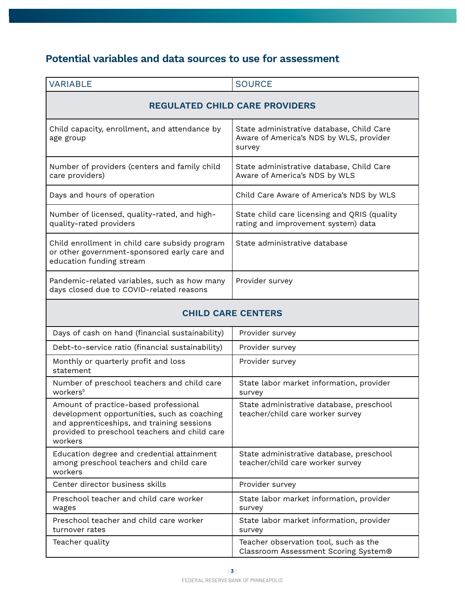## **Potential variables and data sources to use for assessment**

| <b>VARIABLE</b>                                                                                                            | <b>SOURCE</b>                                                                                  |  |
|----------------------------------------------------------------------------------------------------------------------------|------------------------------------------------------------------------------------------------|--|
| <b>REGULATED CHILD CARE PROVIDERS</b>                                                                                      |                                                                                                |  |
| Child capacity, enrollment, and attendance by<br>age group                                                                 | State administrative database, Child Care<br>Aware of America's NDS by WLS, provider<br>survey |  |
| Number of providers (centers and family child<br>care providers)                                                           | State administrative database, Child Care<br>Aware of America's NDS by WLS                     |  |
| Days and hours of operation                                                                                                | Child Care Aware of America's NDS by WLS                                                       |  |
| Number of licensed, quality-rated, and high-<br>quality-rated providers                                                    | State child care licensing and QRIS (quality<br>rating and improvement system) data            |  |
| Child enrollment in child care subsidy program<br>or other government-sponsored early care and<br>education funding stream | State administrative database                                                                  |  |
| Pandemic-related variables, such as how many<br>days closed due to COVID-related reasons                                   | Provider survey                                                                                |  |

### **CHILD CARE CENTERS**

| Days of cash on hand (financial sustainability)                                                                                                                                                | Provider survey                                                               |
|------------------------------------------------------------------------------------------------------------------------------------------------------------------------------------------------|-------------------------------------------------------------------------------|
| Debt-to-service ratio (financial sustainability)                                                                                                                                               | Provider survey                                                               |
| Monthly or quarterly profit and loss<br>statement                                                                                                                                              | Provider survey                                                               |
| Number of preschool teachers and child care<br>workers <sup>5</sup>                                                                                                                            | State labor market information, provider<br>survey                            |
| Amount of practice-based professional<br>development opportunities, such as coaching<br>and apprenticeships, and training sessions<br>provided to preschool teachers and child care<br>workers | State administrative database, preschool<br>teacher/child care worker survey  |
| Education degree and credential attainment<br>among preschool teachers and child care<br>workers                                                                                               | State administrative database, preschool<br>teacher/child care worker survey  |
| Center director business skills                                                                                                                                                                | Provider survey                                                               |
| Preschool teacher and child care worker<br>wages                                                                                                                                               | State labor market information, provider<br>survey                            |
| Preschool teacher and child care worker<br>turnover rates                                                                                                                                      | State labor market information, provider<br>survey                            |
| Teacher quality                                                                                                                                                                                | Teacher observation tool, such as the<br>Classroom Assessment Scoring System® |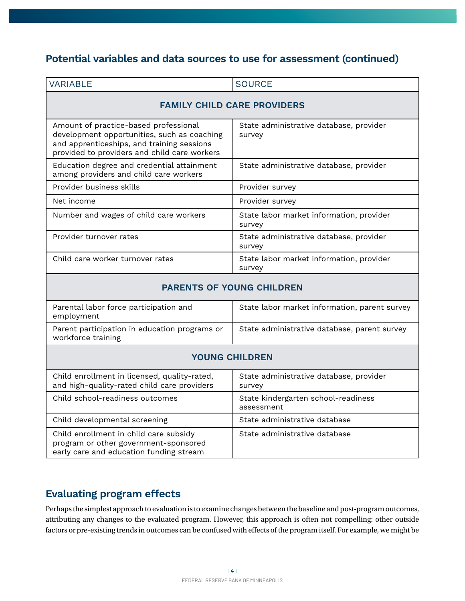## **Potential variables and data sources to use for assessment (continued)**

| <b>VARIABLE</b>                                                                                                                                                                    | <b>SOURCE</b>                                      |  |
|------------------------------------------------------------------------------------------------------------------------------------------------------------------------------------|----------------------------------------------------|--|
| <b>FAMILY CHILD CARE PROVIDERS</b>                                                                                                                                                 |                                                    |  |
| Amount of practice-based professional<br>development opportunities, such as coaching<br>and apprenticeships, and training sessions<br>provided to providers and child care workers | State administrative database, provider<br>survey  |  |
| Education degree and credential attainment<br>among providers and child care workers                                                                                               | State administrative database, provider            |  |
| Provider business skills                                                                                                                                                           | Provider survey                                    |  |
| Net income                                                                                                                                                                         | Provider survey                                    |  |
| Number and wages of child care workers                                                                                                                                             | State labor market information, provider<br>survey |  |
| Provider turnover rates                                                                                                                                                            | State administrative database, provider<br>survey  |  |
| Child care worker turnover rates                                                                                                                                                   | State labor market information, provider<br>survey |  |
| <b>PARENTS OF YOUNG CHILDREN</b>                                                                                                                                                   |                                                    |  |
| Parental labor force participation and<br>employment                                                                                                                               | State labor market information, parent survey      |  |
| Parent participation in education programs or<br>workforce training                                                                                                                | State administrative database, parent survey       |  |
| <b>YOUNG CHILDREN</b>                                                                                                                                                              |                                                    |  |
| Child enrollment in licensed, quality-rated,<br>and high-quality-rated child care providers                                                                                        | State administrative database, provider<br>survey  |  |
| Child school-readiness outcomes                                                                                                                                                    | State kindergarten school-readiness<br>assessment  |  |
| Child developmental screening                                                                                                                                                      | State administrative database                      |  |
| Child enrollment in child care subsidy<br>program or other government-sponsored<br>early care and education funding stream                                                         | State administrative database                      |  |

## **Evaluating program effects**

Perhaps the simplest approach to evaluation is to examine changes between the baseline and post-program outcomes, attributing any changes to the evaluated program. However, this approach is often not compelling: other outside factors or pre-existing trends in outcomes can be confused with effects of the program itself. For example, we might be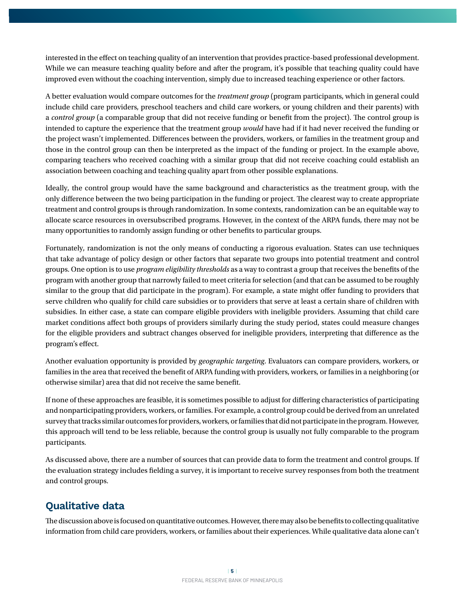interested in the effect on teaching quality of an intervention that provides practice-based professional development. While we can measure teaching quality before and after the program, it's possible that teaching quality could have improved even without the coaching intervention, simply due to increased teaching experience or other factors.

A better evaluation would compare outcomes for the *treatment group* (program participants, which in general could include child care providers, preschool teachers and child care workers, or young children and their parents) with a *control group* (a comparable group that did not receive funding or benefit from the project). The control group is intended to capture the experience that the treatment group *would* have had if it had never received the funding or the project wasn't implemented. Differences between the providers, workers, or families in the treatment group and those in the control group can then be interpreted as the impact of the funding or project. In the example above, comparing teachers who received coaching with a similar group that did not receive coaching could establish an association between coaching and teaching quality apart from other possible explanations.

Ideally, the control group would have the same background and characteristics as the treatment group, with the only difference between the two being participation in the funding or project. The clearest way to create appropriate treatment and control groups is through randomization. In some contexts, randomization can be an equitable way to allocate scarce resources in oversubscribed programs. However, in the context of the ARPA funds, there may not be many opportunities to randomly assign funding or other benefits to particular groups.

Fortunately, randomization is not the only means of conducting a rigorous evaluation. States can use techniques that take advantage of policy design or other factors that separate two groups into potential treatment and control groups. One option is to use *program eligibility thresholds* as a way to contrast a group that receives the benefits of the program with another group that narrowly failed to meet criteria for selection (and that can be assumed to be roughly similar to the group that did participate in the program). For example, a state might offer funding to providers that serve children who qualify for child care subsidies or to providers that serve at least a certain share of children with subsidies. In either case, a state can compare eligible providers with ineligible providers. Assuming that child care market conditions affect both groups of providers similarly during the study period, states could measure changes for the eligible providers and subtract changes observed for ineligible providers, interpreting that difference as the program's effect.

Another evaluation opportunity is provided by *geographic targeting*. Evaluators can compare providers, workers, or families in the area that received the benefit of ARPA funding with providers, workers, or families in a neighboring (or otherwise similar) area that did not receive the same benefit.

If none of these approaches are feasible, it is sometimes possible to adjust for differing characteristics of participating and nonparticipating providers, workers, or families. For example, a control group could be derived from an unrelated survey that tracks similar outcomes for providers, workers, or families that did not participate in the program. However, this approach will tend to be less reliable, because the control group is usually not fully comparable to the program participants.

As discussed above, there are a number of sources that can provide data to form the treatment and control groups. If the evaluation strategy includes fielding a survey, it is important to receive survey responses from both the treatment and control groups.

## **Qualitative data**

The discussion above is focused on quantitative outcomes. However, there may also be benefits to collecting qualitative information from child care providers, workers, or families about their experiences. While qualitative data alone can't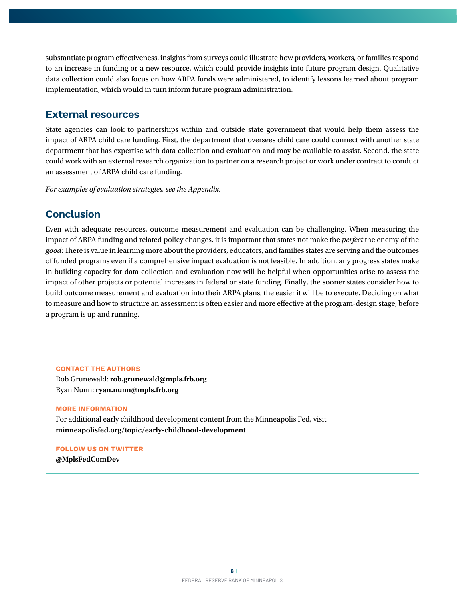substantiate program effectiveness, insights from surveys could illustrate how providers, workers, or families respond to an increase in funding or a new resource, which could provide insights into future program design. Qualitative data collection could also focus on how ARPA funds were administered, to identify lessons learned about program implementation, which would in turn inform future program administration.

#### **External resources**

State agencies can look to partnerships within and outside state government that would help them assess the impact of ARPA child care funding. First, the department that oversees child care could connect with another state department that has expertise with data collection and evaluation and may be available to assist. Second, the state could work with an external research organization to partner on a research project or work under contract to conduct an assessment of ARPA child care funding.

*For examples of evaluation strategies, see the Appendix.*

## **Conclusion**

Even with adequate resources, outcome measurement and evaluation can be challenging. When measuring the impact of ARPA funding and related policy changes, it is important that states not make the *perfect* the enemy of the *good*: There is value in learning more about the providers, educators, and families states are serving and the outcomes of funded programs even if a comprehensive impact evaluation is not feasible. In addition, any progress states make in building capacity for data collection and evaluation now will be helpful when opportunities arise to assess the impact of other projects or potential increases in federal or state funding. Finally, the sooner states consider how to build outcome measurement and evaluation into their ARPA plans, the easier it will be to execute. Deciding on what to measure and how to structure an assessment is often easier and more effective at the program-design stage, before a program is up and running.

#### **CONTACT THE AUTHORS**

Rob Grunewald: **rob.grunewald@mpls.frb.org** Ryan Nunn: **ryan.nunn@mpls.frb.org**

#### **MORE INFORMATION**

For additional early childhood development content from the Minneapolis Fed, visit **minneapolisfed.org/topic/early-childhood-development**

**FOLLOW US ON TWITTER @MplsFedComDev**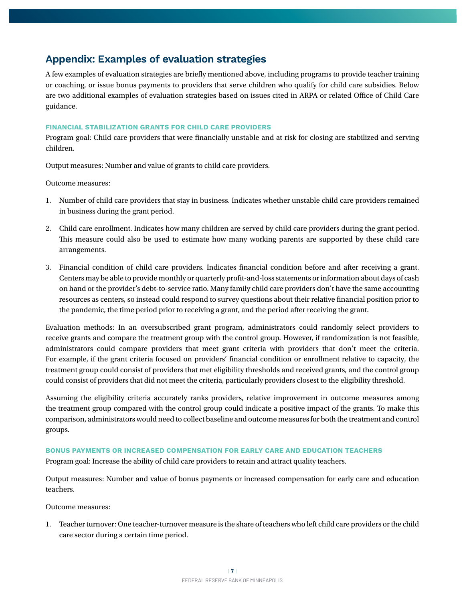## **Appendix: Examples of evaluation strategies**

A few examples of evaluation strategies are briefly mentioned above, including programs to provide teacher training or coaching, or issue bonus payments to providers that serve children who qualify for child care subsidies. Below are two additional examples of evaluation strategies based on issues cited in ARPA or related Office of Child Care guidance.

#### **FINANCIAL STABILIZATION GRANTS FOR CHILD CARE PROVIDERS**

Program goal: Child care providers that were financially unstable and at risk for closing are stabilized and serving children.

Output measures: Number and value of grants to child care providers.

Outcome measures:

- 1. Number of child care providers that stay in business. Indicates whether unstable child care providers remained in business during the grant period.
- 2. Child care enrollment. Indicates how many children are served by child care providers during the grant period. This measure could also be used to estimate how many working parents are supported by these child care arrangements.
- 3. Financial condition of child care providers. Indicates financial condition before and after receiving a grant. Centers may be able to provide monthly or quarterly profit-and-loss statements or information about days of cash on hand or the provider's debt-to-service ratio. Many family child care providers don't have the same accounting resources as centers, so instead could respond to survey questions about their relative financial position prior to the pandemic, the time period prior to receiving a grant, and the period after receiving the grant.

Evaluation methods: In an oversubscribed grant program, administrators could randomly select providers to receive grants and compare the treatment group with the control group. However, if randomization is not feasible, administrators could compare providers that meet grant criteria with providers that don't meet the criteria. For example, if the grant criteria focused on providers' financial condition or enrollment relative to capacity, the treatment group could consist of providers that met eligibility thresholds and received grants, and the control group could consist of providers that did not meet the criteria, particularly providers closest to the eligibility threshold.

Assuming the eligibility criteria accurately ranks providers, relative improvement in outcome measures among the treatment group compared with the control group could indicate a positive impact of the grants. To make this comparison, administrators would need to collect baseline and outcome measures for both the treatment and control groups.

#### **BONUS PAYMENTS OR INCREASED COMPENSATION FOR EARLY CARE AND EDUCATION TEACHERS**

Program goal: Increase the ability of child care providers to retain and attract quality teachers.

Output measures: Number and value of bonus payments or increased compensation for early care and education teachers.

Outcome measures:

1. Teacher turnover: One teacher-turnover measure is the share of teachers who left child care providers or the child care sector during a certain time period.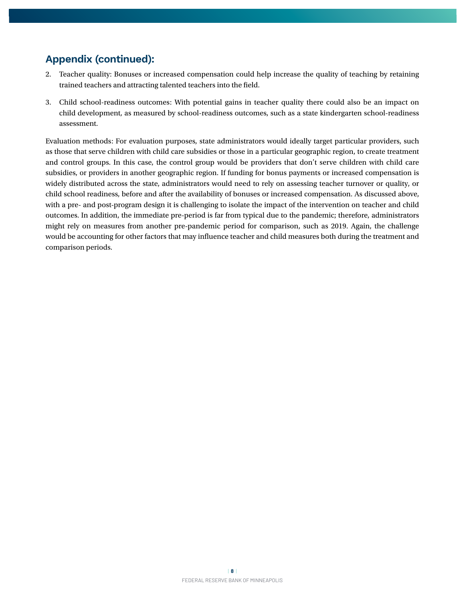## **Appendix (continued):**

- 2. Teacher quality: Bonuses or increased compensation could help increase the quality of teaching by retaining trained teachers and attracting talented teachers into the field.
- 3. Child school-readiness outcomes: With potential gains in teacher quality there could also be an impact on child development, as measured by school-readiness outcomes, such as a state kindergarten school-readiness assessment.

Evaluation methods: For evaluation purposes, state administrators would ideally target particular providers, such as those that serve children with child care subsidies or those in a particular geographic region, to create treatment and control groups. In this case, the control group would be providers that don't serve children with child care subsidies, or providers in another geographic region. If funding for bonus payments or increased compensation is widely distributed across the state, administrators would need to rely on assessing teacher turnover or quality, or child school readiness, before and after the availability of bonuses or increased compensation. As discussed above, with a pre- and post-program design it is challenging to isolate the impact of the intervention on teacher and child outcomes. In addition, the immediate pre-period is far from typical due to the pandemic; therefore, administrators might rely on measures from another pre-pandemic period for comparison, such as 2019. Again, the challenge would be accounting for other factors that may influence teacher and child measures both during the treatment and comparison periods.